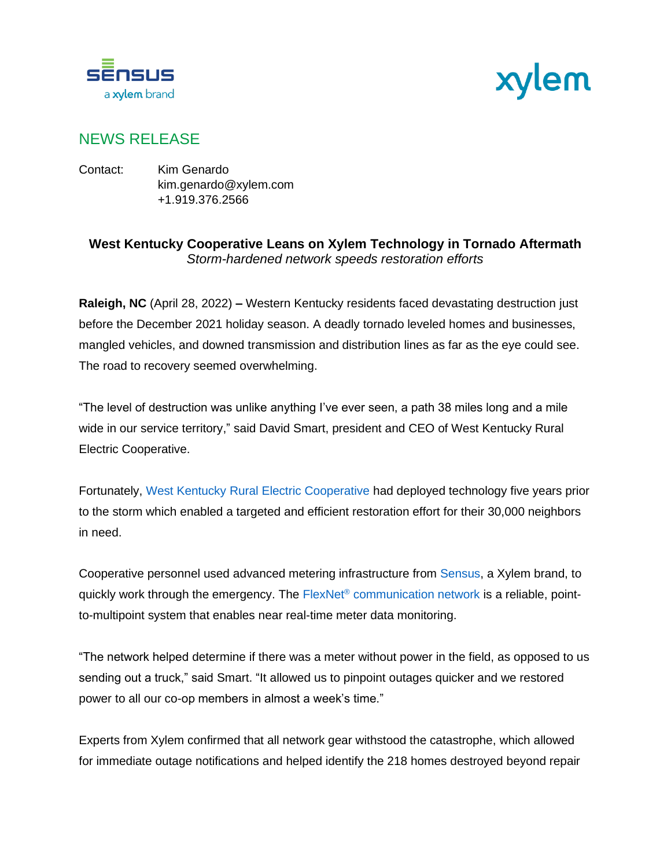



## NEWS RELEASE

Contact: Kim Genardo kim.genardo@xylem.com +1.919.376.2566

## **West Kentucky Cooperative Leans on Xylem Technology in Tornado Aftermath** *Storm-hardened network speeds restoration efforts*

**Raleigh, NC** (April 28, 2022) **–** Western Kentucky residents faced devastating destruction just before the December 2021 holiday season. A deadly tornado leveled homes and businesses, mangled vehicles, and downed transmission and distribution lines as far as the eye could see. The road to recovery seemed overwhelming.

"The level of destruction was unlike anything I've ever seen, a path 38 miles long and a mile wide in our service territory," said David Smart, president and CEO of West Kentucky Rural Electric Cooperative.

Fortunately, [West Kentucky Rural Electric Cooperative](https://www.wkrecc.com/) had deployed technology five years prior to the storm which enabled a targeted and efficient restoration effort for their 30,000 neighbors in need.

Cooperative personnel used advanced metering infrastructure from [Sensus,](https://sensus.com/) a Xylem brand, to quickly work through the emergency. The FlexNet® [communication network](https://sensus.com/communication-networks/sensus-technologies/flexnet-north-america/) is a reliable, pointto-multipoint system that enables near real-time meter data monitoring.

"The network helped determine if there was a meter without power in the field, as opposed to us sending out a truck," said Smart. "It allowed us to pinpoint outages quicker and we restored power to all our co-op members in almost a week's time."

Experts from Xylem confirmed that all network gear withstood the catastrophe, which allowed for immediate outage notifications and helped identify the 218 homes destroyed beyond repair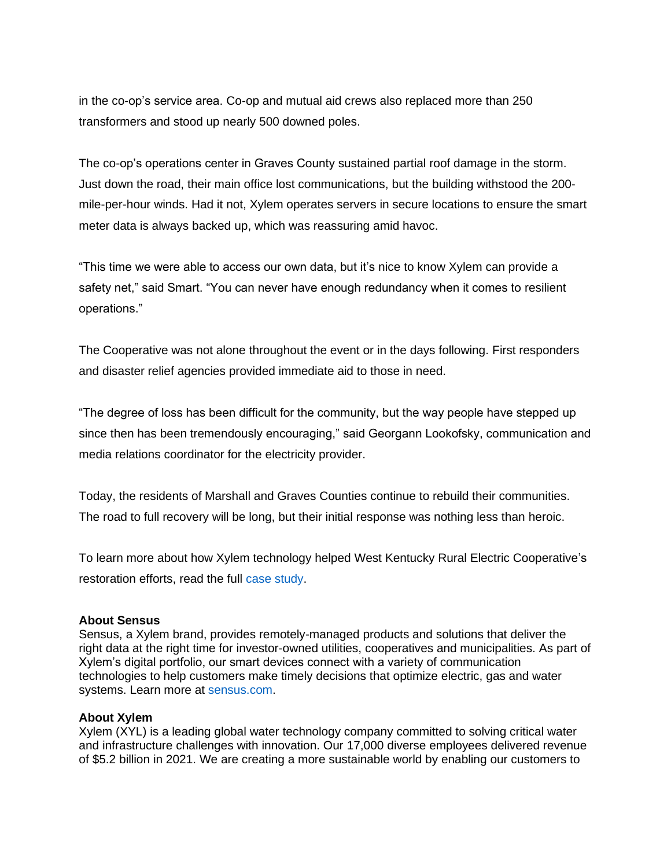in the co-op's service area. Co-op and mutual aid crews also replaced more than 250 transformers and stood up nearly 500 downed poles.

The co-op's operations center in Graves County sustained partial roof damage in the storm. Just down the road, their main office lost communications, but the building withstood the 200 mile-per-hour winds. Had it not, Xylem operates servers in secure locations to ensure the smart meter data is always backed up, which was reassuring amid havoc.

"This time we were able to access our own data, but it's nice to know Xylem can provide a safety net," said Smart. "You can never have enough redundancy when it comes to resilient operations."

The Cooperative was not alone throughout the event or in the days following. First responders and disaster relief agencies provided immediate aid to those in need.

"The degree of loss has been difficult for the community, but the way people have stepped up since then has been tremendously encouraging," said Georgann Lookofsky, communication and media relations coordinator for the electricity provider.

Today, the residents of Marshall and Graves Counties continue to rebuild their communities. The road to full recovery will be long, but their initial response was nothing less than heroic.

To learn more about how Xylem technology helped West Kentucky Rural Electric Cooperative's restoration efforts, read the full [case study.](https://sensus.com/resources/case-studies/resilient-west-kentucky-cooperative-navigates-tornado-aftermath-with-xylem-technology/)

## **About Sensus**

Sensus, a Xylem brand, provides remotely-managed products and solutions that deliver the right data at the right time for investor-owned utilities, cooperatives and municipalities. As part of Xylem's digital portfolio, our smart devices connect with a variety of communication technologies to help customers make timely decisions that optimize electric, gas and water systems. Learn more at [sensus.com.](http://www.sensus.com/)

## **About Xylem**

Xylem (XYL) is a leading global water technology company committed to solving critical water and infrastructure challenges with innovation. Our 17,000 diverse employees delivered revenue of \$5.2 billion in 2021. We are creating a more sustainable world by enabling our customers to